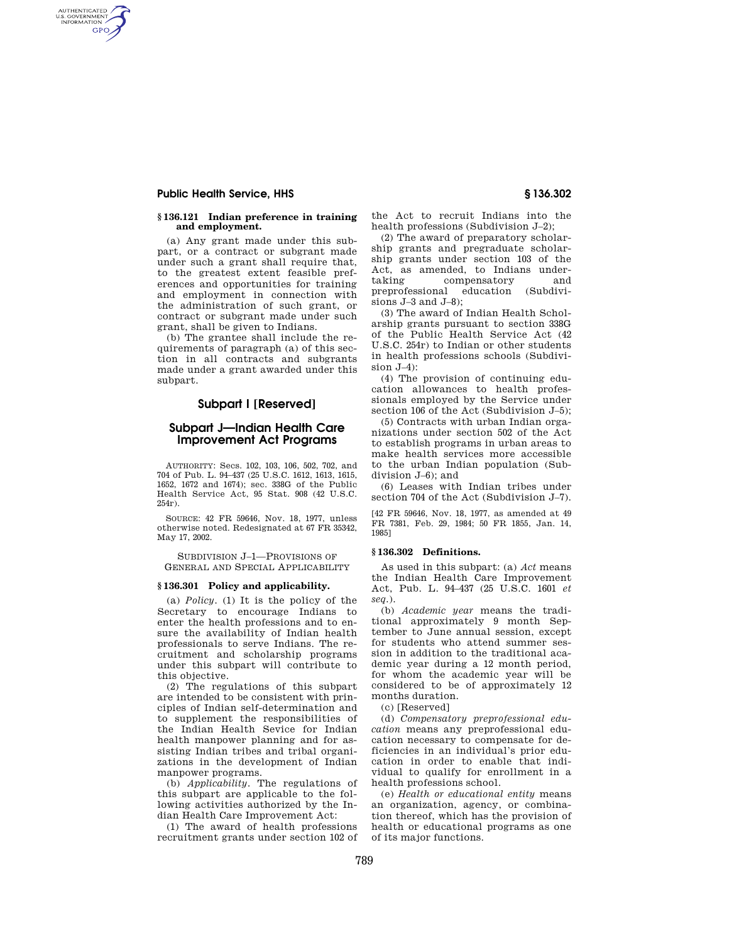# **Public Health Service, HHS § 136.302**

AUTHENTICATED<br>U.S. GOVERNMENT<br>INFORMATION **GPO** 

## **§ 136.121 Indian preference in training and employment.**

(a) Any grant made under this subpart, or a contract or subgrant made under such a grant shall require that, to the greatest extent feasible preferences and opportunities for training and employment in connection with the administration of such grant, or contract or subgrant made under such grant, shall be given to Indians.

(b) The grantee shall include the requirements of paragraph (a) of this section in all contracts and subgrants made under a grant awarded under this subpart.

# **Subpart I [Reserved]**

# **Subpart J—Indian Health Care Improvement Act Programs**

AUTHORITY: Secs. 102, 103, 106, 502, 702, and 704 of Pub. L. 94–437 (25 U.S.C. 1612, 1613, 1615, 1652, 1672 and 1674); sec. 338G of the Public Health Service Act, 95 Stat. 908 (42 U.S.C. 254r).

SOURCE: 42 FR 59646, Nov. 18, 1977, unless otherwise noted. Redesignated at 67 FR 35342, May 17, 2002.

SUBDIVISION J–1—PROVISIONS OF GENERAL AND SPECIAL APPLICABILITY

## **§ 136.301 Policy and applicability.**

(a) *Policy.* (1) It is the policy of the Secretary to encourage Indians to enter the health professions and to ensure the availability of Indian health professionals to serve Indians. The recruitment and scholarship programs under this subpart will contribute to this objective.

(2) The regulations of this subpart are intended to be consistent with principles of Indian self-determination and to supplement the responsibilities of the Indian Health Sevice for Indian health manpower planning and for assisting Indian tribes and tribal organizations in the development of Indian manpower programs.

(b) *Applicability.* The regulations of this subpart are applicable to the following activities authorized by the Indian Health Care Improvement Act:

(1) The award of health professions recruitment grants under section 102 of the Act to recruit Indians into the health professions (Subdivision J–2);

(2) The award of preparatory scholarship grants and pregraduate scholarship grants under section 103 of the Act, as amended, to Indians undertaking compensatory and preprofessional education (Subdivisions J–3 and J–8);

(3) The award of Indian Health Scholarship grants pursuant to section 338G of the Public Health Service Act (42 U.S.C. 254r) to Indian or other students in health professions schools (Subdivision J–4):

(4) The provision of continuing education allowances to health professionals employed by the Service under section 106 of the Act (Subdivision J–5);

(5) Contracts with urban Indian organizations under section 502 of the Act to establish programs in urban areas to make health services more accessible to the urban Indian population (Subdivision J–6); and

(6) Leases with Indian tribes under section 704 of the Act (Subdivision J–7).

[42 FR 59646, Nov. 18, 1977, as amended at 49 FR 7381, Feb. 29, 1984; 50 FR 1855, Jan. 14, 1985]

### **§ 136.302 Definitions.**

As used in this subpart: (a) *Act* means the Indian Health Care Improvement Act, Pub. L. 94–437 (25 U.S.C. 1601 *et seq.*).

(b) *Academic year* means the traditional approximately 9 month September to June annual session, except for students who attend summer session in addition to the traditional academic year during a 12 month period, for whom the academic year will be considered to be of approximately 12 months duration.

(c) [Reserved]

(d) *Compensatory preprofessional education* means any preprofessional education necessary to compensate for deficiencies in an individual's prior education in order to enable that individual to qualify for enrollment in a health professions school.

(e) *Health or educational entity* means an organization, agency, or combination thereof, which has the provision of health or educational programs as one of its major functions.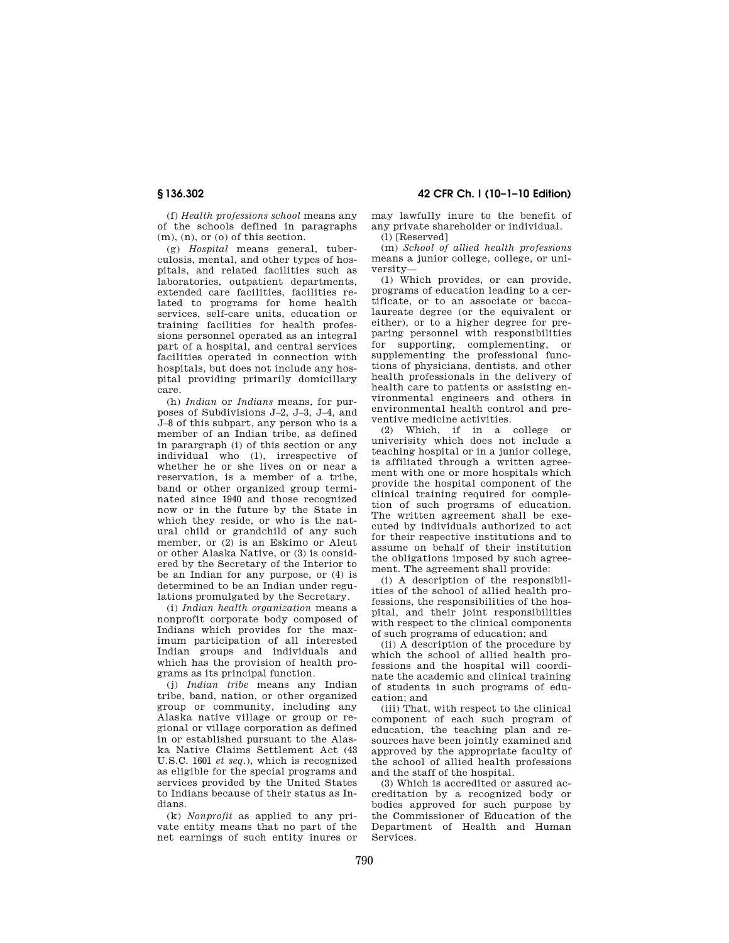(f) *Health professions school* means any of the schools defined in paragraphs (m), (n), or (o) of this section.

(g) *Hospital* means general, tuberculosis, mental, and other types of hospitals, and related facilities such as laboratories, outpatient departments, extended care facilities, facilities related to programs for home health services, self-care units, education or training facilities for health professions personnel operated as an integral part of a hospital, and central services facilities operated in connection with hospitals, but does not include any hospital providing primarily domicillary care.

(h) *Indian* or *Indians* means, for purposes of Subdivisions J–2, J–3, J–4, and J–8 of this subpart, any person who is a member of an Indian tribe, as defined in parargraph (i) of this section or any individual who (1), irrespective of whether he or she lives on or near a reservation, is a member of a tribe, band or other organized group terminated since 1940 and those recognized now or in the future by the State in which they reside, or who is the natural child or grandchild of any such member, or (2) is an Eskimo or Aleut or other Alaska Native, or (3) is considered by the Secretary of the Interior to be an Indian for any purpose, or (4) is determined to be an Indian under regulations promulgated by the Secretary.

(i) *Indian health organization* means a nonprofit corporate body composed of Indians which provides for the maximum participation of all interested Indian groups and individuals and which has the provision of health programs as its principal function.

(j) *Indian tribe* means any Indian tribe, band, nation, or other organized group or community, including any Alaska native village or group or regional or village corporation as defined in or established pursuant to the Alaska Native Claims Settlement Act (43 U.S.C. 1601 *et seq.*), which is recognized as eligible for the special programs and services provided by the United States to Indians because of their status as Indians.

(k) *Nonprofit* as applied to any private entity means that no part of the net earnings of such entity inures or

**§ 136.302 42 CFR Ch. I (10–1–10 Edition)** 

may lawfully inure to the benefit of any private shareholder or individual. (l) [Reserved]

(m) *School of allied health professions*  means a junior college, college, or university—

(1) Which provides, or can provide, programs of education leading to a certificate, or to an associate or baccalaureate degree (or the equivalent or either), or to a higher degree for preparing personnel with responsibilities for supporting, complementing, or supplementing the professional functions of physicians, dentists, and other health professionals in the delivery of health care to patients or assisting environmental engineers and others in environmental health control and preventive medicine activities.

(2) Which, if in a college or univerisity which does not include a teaching hospital or in a junior college, is affiliated through a written agreement with one or more hospitals which provide the hospital component of the clinical training required for completion of such programs of education. The written agreement shall be executed by individuals authorized to act for their respective institutions and to assume on behalf of their institution the obligations imposed by such agreement. The agreement shall provide:

(i) A description of the responsibilities of the school of allied health professions, the responsibilities of the hospital, and their joint responsibilities with respect to the clinical components of such programs of education; and

(ii) A description of the procedure by which the school of allied health professions and the hospital will coordinate the academic and clinical training of students in such programs of education; and

(iii) That, with respect to the clinical component of each such program of education, the teaching plan and resources have been jointly examined and approved by the appropriate faculty of the school of allied health professions and the staff of the hospital.

(3) Which is accredited or assured accreditation by a recognized body or bodies approved for such purpose by the Commissioner of Education of the Department of Health and Human Services.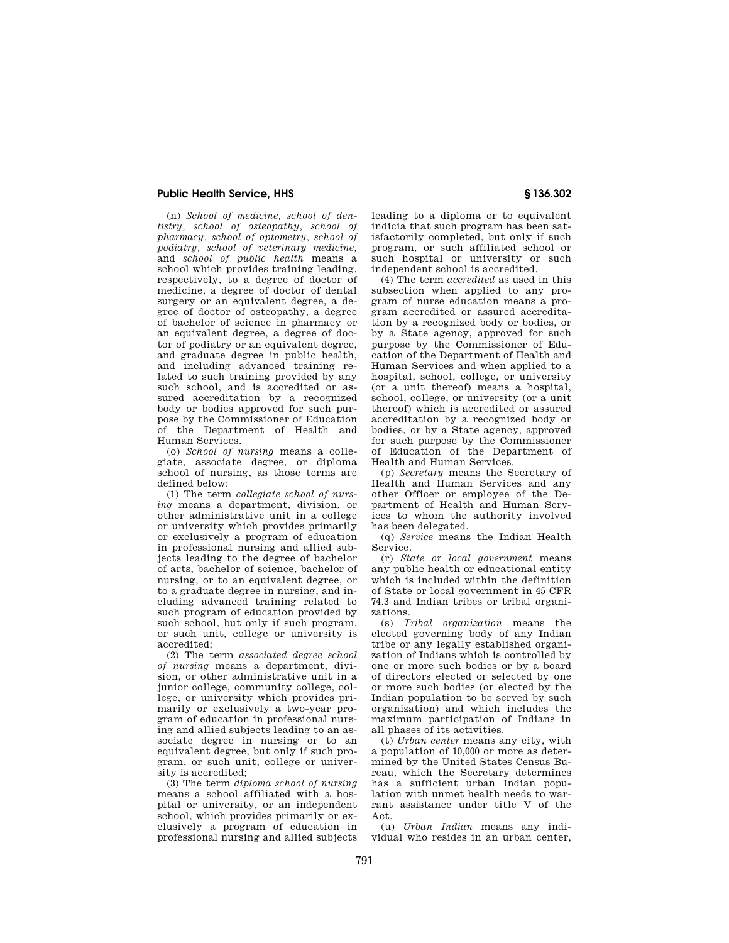# **Public Health Service, HHS § 136.302**

(n) *School of medicine, school of dentistry, school of osteopathy, school of pharmacy, school of optometry, school of podiatry, school of veterinary medicine,*  and *school of public health* means a school which provides training leading, respectively, to a degree of doctor of medicine, a degree of doctor of dental surgery or an equivalent degree, a degree of doctor of osteopathy, a degree of bachelor of science in pharmacy or an equivalent degree, a degree of doctor of podiatry or an equivalent degree, and graduate degree in public health, and including advanced training related to such training provided by any such school, and is accredited or assured accreditation by a recognized body or bodies approved for such purpose by the Commissioner of Education of the Department of Health and Human Services.

(o) *School of nursing* means a collegiate, associate degree, or diploma school of nursing, as those terms are defined below:

(1) The term *collegiate school of nursing* means a department, division, or other administrative unit in a college or university which provides primarily or exclusively a program of education in professional nursing and allied subjects leading to the degree of bachelor of arts, bachelor of science, bachelor of nursing, or to an equivalent degree, or to a graduate degree in nursing, and including advanced training related to such program of education provided by such school, but only if such program, or such unit, college or university is accredited;

(2) The term *associated degree school of nursing* means a department, division, or other administrative unit in a junior college, community college, college, or university which provides primarily or exclusively a two-year program of education in professional nursing and allied subjects leading to an associate degree in nursing or to an equivalent degree, but only if such program, or such unit, college or university is accredited;

(3) The term *diploma school of nursing*  means a school affiliated with a hospital or university, or an independent school, which provides primarily or exclusively a program of education in professional nursing and allied subjects leading to a diploma or to equivalent indicia that such program has been satisfactorily completed, but only if such program, or such affiliated school or such hospital or university or such independent school is accredited.

(4) The term *accredited* as used in this subsection when applied to any program of nurse education means a program accredited or assured accreditation by a recognized body or bodies, or by a State agency, approved for such purpose by the Commissioner of Education of the Department of Health and Human Services and when applied to a hospital, school, college, or university (or a unit thereof) means a hospital, school, college, or university (or a unit thereof) which is accredited or assured accreditation by a recognized body or bodies, or by a State agency, approved for such purpose by the Commissioner of Education of the Department of Health and Human Services.

(p) *Secretary* means the Secretary of Health and Human Services and any other Officer or employee of the Department of Health and Human Services to whom the authority involved has been delegated.

(q) *Service* means the Indian Health Service.

(r) *State or local government* means any public health or educational entity which is included within the definition of State or local government in 45 CFR 74.3 and Indian tribes or tribal organizations.

(s) *Tribal organization* means the elected governing body of any Indian tribe or any legally established organization of Indians which is controlled by one or more such bodies or by a board of directors elected or selected by one or more such bodies (or elected by the Indian population to be served by such organization) and which includes the maximum participation of Indians in all phases of its activities.

(t) *Urban center* means any city, with a population of 10,000 or more as determined by the United States Census Bureau, which the Secretary determines has a sufficient urban Indian population with unmet health needs to warrant assistance under title V of the Act.

(u) *Urban Indian* means any individual who resides in an urban center,